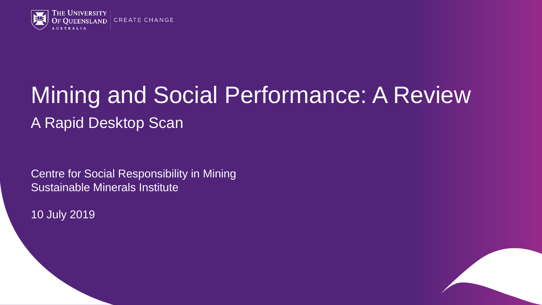

# Mining and Social Performance: A Review A Rapid Desktop Scan

Centre for Social Responsibility in Mining Sustainable Minerals Institute

10 July 2019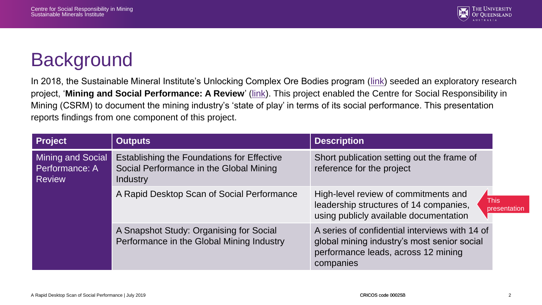

#### **Background**

In 2018, the Sustainable Mineral Institute's Unlocking Complex Ore Bodies program [\(link\)](https://smi.uq.edu.au/complex-ore-bodies) seeded an exploratory research project, '**Mining and Social Performance: A Review**' [\(link](https://smi.uq.edu.au/mining-and-social-performance-review)). This project enabled the Centre for Social Responsibility in Mining (CSRM) to document the mining industry's 'state of play' in terms of its social performance. This presentation reports findings from one component of this project.

| <b>Project</b>                                       | <b>Outputs</b>                                                                                           | <b>Description</b>                                                                                                                                |                             |
|------------------------------------------------------|----------------------------------------------------------------------------------------------------------|---------------------------------------------------------------------------------------------------------------------------------------------------|-----------------------------|
| Mining and Social<br>Performance: A<br><b>Review</b> | Establishing the Foundations for Effective<br>Social Performance in the Global Mining<br><b>Industry</b> | Short publication setting out the frame of<br>reference for the project                                                                           |                             |
|                                                      | A Rapid Desktop Scan of Social Performance                                                               | High-level review of commitments and<br>leadership structures of 14 companies,<br>using publicly available documentation                          | <b>This</b><br>presentation |
|                                                      | A Snapshot Study: Organising for Social<br>Performance in the Global Mining Industry                     | A series of confidential interviews with 14 of<br>global mining industry's most senior social<br>performance leads, across 12 mining<br>companies |                             |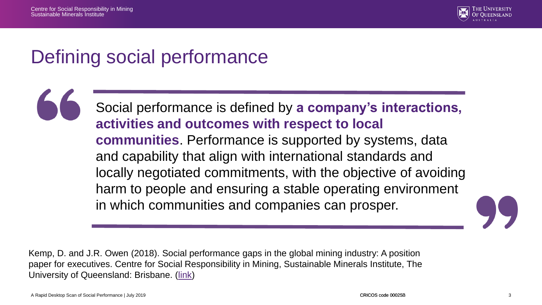

#### Defining social performance

Social performance is defined by **a company's interactions, activities and outcomes with respect to local communities**. Performance is supported by systems, data and capability that align with international standards and locally negotiated commitments, with the objective of avoiding harm to people and ensuring a stable operating environment in which communities and companies can prosper.

Kemp, D. and J.R. Owen (2018). Social performance gaps in the global mining industry: A position paper for executives. Centre for Social Responsibility in Mining, Sustainable Minerals Institute, The University of Queensland: Brisbane. ([link\)](https://www.csrm.uq.edu.au/publications/social-performance-gaps-in-the-global-mining-industry-a-position-paper-for-executives)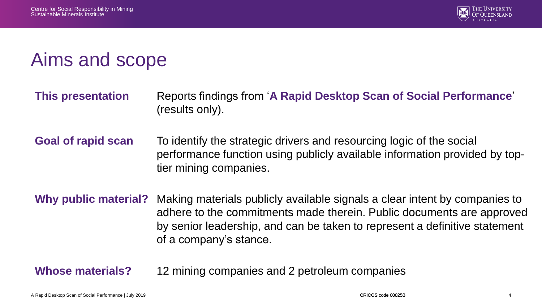

#### Aims and scope

- **This presentation** Reports findings from '**A Rapid Desktop Scan of Social Performance**' (results only).
- **Goal of rapid scan** To identify the strategic drivers and resourcing logic of the social performance function using publicly available information provided by toptier mining companies.
- **Why public material?** Making materials publicly available signals a clear intent by companies to adhere to the commitments made therein. Public documents are approved by senior leadership, and can be taken to represent a definitive statement of a company's stance.

**Whose materials?** 12 mining companies and 2 petroleum companies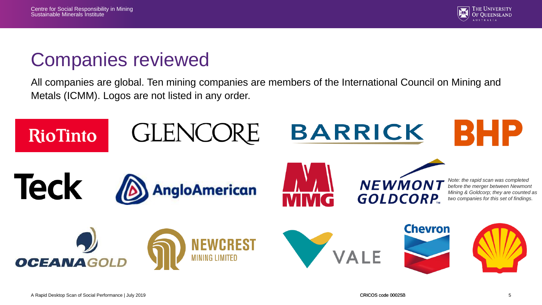

#### Companies reviewed

All companies are global. Ten mining companies are members of the International Council on Mining and Metals (ICMM). Logos are not listed in any order.

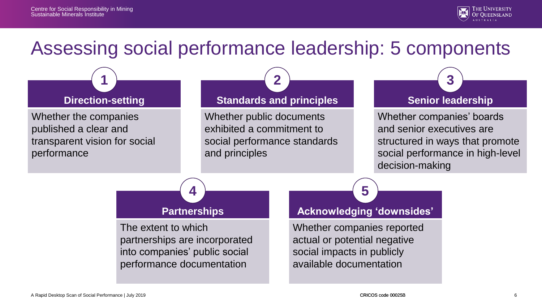

#### Assessing social performance leadership: 5 components

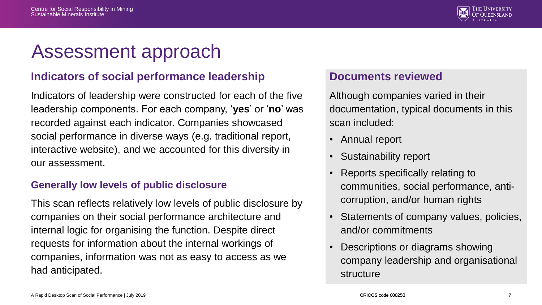

#### Assessment approach

#### **Indicators of social performance leadership**

Indicators of leadership were constructed for each of the five leadership components. For each company, '**yes**' or '**no**' was recorded against each indicator. Companies showcased social performance in diverse ways (e.g. traditional report, interactive website), and we accounted for this diversity in our assessment.

#### **Generally low levels of public disclosure**

This scan reflects relatively low levels of public disclosure by companies on their social performance architecture and internal logic for organising the function. Despite direct requests for information about the internal workings of companies, information was not as easy to access as we had anticipated.

#### **Documents reviewed**

Although companies varied in their documentation, typical documents in this scan included:

- Annual report
- Sustainability report
- Reports specifically relating to communities, social performance, anticorruption, and/or human rights
- Statements of company values, policies, and/or commitments
- Descriptions or diagrams showing company leadership and organisational structure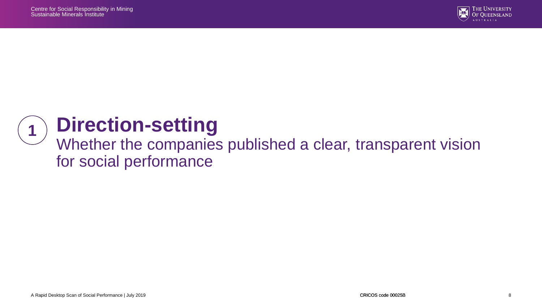

#### **Direction-setting 1**

#### Whether the companies published a clear, transparent vision for social performance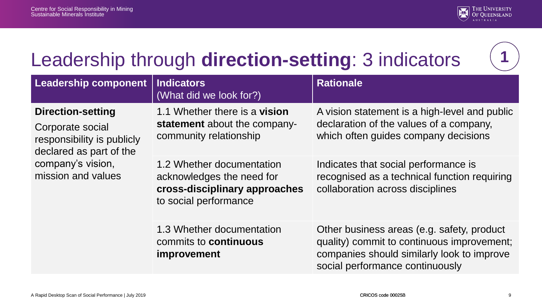

# Leadership through **direction-setting**: 3 indicators



| <b>Leadership component</b>                                                                           | <b>Indicators</b><br>(What did we look for?)                                                                     | <b>Rationale</b>                                                                                                                                                          |
|-------------------------------------------------------------------------------------------------------|------------------------------------------------------------------------------------------------------------------|---------------------------------------------------------------------------------------------------------------------------------------------------------------------------|
| <b>Direction-setting</b><br>Corporate social<br>responsibility is publicly<br>declared as part of the | 1.1 Whether there is a vision<br>statement about the company-<br>community relationship                          | A vision statement is a high-level and public<br>declaration of the values of a company,<br>which often guides company decisions                                          |
| company's vision,<br>mission and values                                                               | 1.2 Whether documentation<br>acknowledges the need for<br>cross-disciplinary approaches<br>to social performance | Indicates that social performance is<br>recognised as a technical function requiring<br>collaboration across disciplines                                                  |
|                                                                                                       | 1.3 Whether documentation<br>commits to <b>continuous</b><br><i>improvement</i>                                  | Other business areas (e.g. safety, product<br>quality) commit to continuous improvement;<br>companies should similarly look to improve<br>social performance continuously |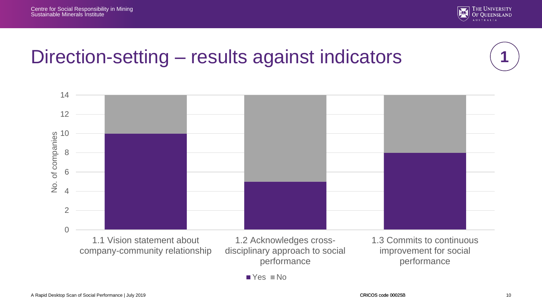

#### Direction-setting – results against indicators

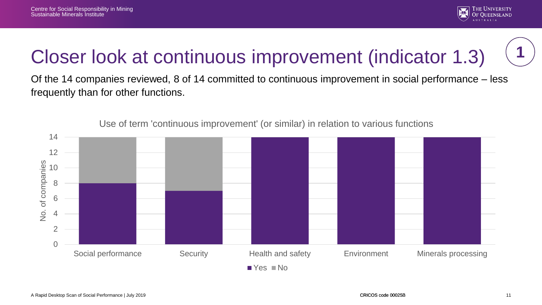

# Closer look at continuous improvement (indicator 1.3)

Of the 14 companies reviewed, 8 of 14 committed to continuous improvement in social performance – less frequently than for other functions.



Use of term 'continuous improvement' (or similar) in relation to various functions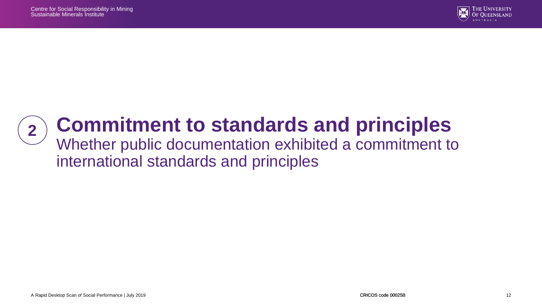

# **Commitment to standards and principles**

#### Whether public documentation exhibited a commitment to international standards and principles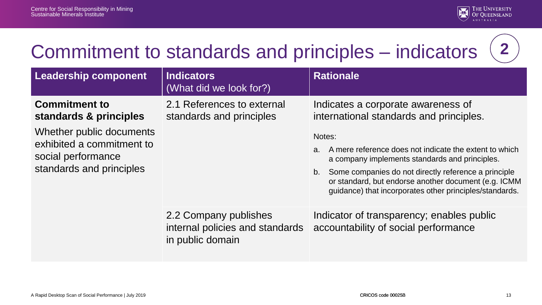

# Commitment to standards and principles – indicators



| <b>Leadership component</b>                                                                                                                               | <b>Indicators</b><br>(What did we look for?)                                 | <b>Rationale</b>                                                                                                                                                                                                      |
|-----------------------------------------------------------------------------------------------------------------------------------------------------------|------------------------------------------------------------------------------|-----------------------------------------------------------------------------------------------------------------------------------------------------------------------------------------------------------------------|
| <b>Commitment to</b><br>standards & principles<br>Whether public documents<br>exhibited a commitment to<br>social performance<br>standards and principles | 2.1 References to external<br>standards and principles                       | Indicates a corporate awareness of<br>international standards and principles.<br>Notes:<br>A mere reference does not indicate the extent to which<br>a <sub>1</sub><br>a company implements standards and principles. |
|                                                                                                                                                           |                                                                              | Some companies do not directly reference a principle<br>b.<br>or standard, but endorse another document (e.g. ICMM<br>guidance) that incorporates other principles/standards.                                         |
|                                                                                                                                                           | 2.2 Company publishes<br>internal policies and standards<br>in public domain | Indicator of transparency; enables public<br>accountability of social performance                                                                                                                                     |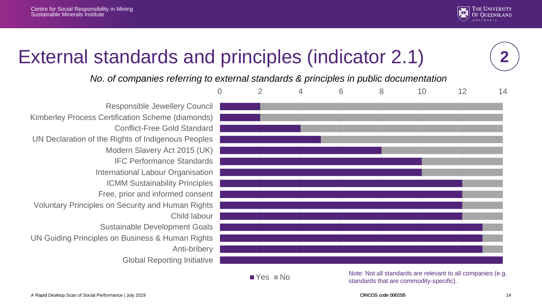

# External standards and principles (indicator 2.1)

*No. of companies referring to external standards & principles in public documentation*



■ Yes ■ Note: Note: Not all standards are relevant to all companies (e.g. standards that are commodity-specific).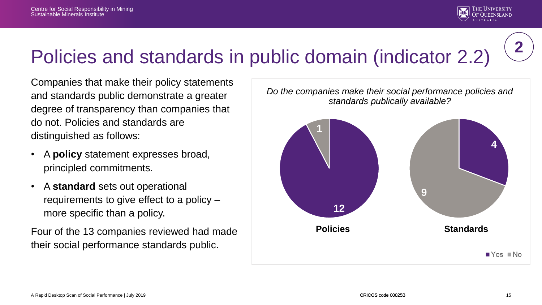

## Policies and standards in public domain (indicator 2.2)

Companies that make their policy statements and standards public demonstrate a greater degree of transparency than companies that do not. Policies and standards are distinguished as follows:

- A **policy** statement expresses broad, principled commitments.
- A **standard** sets out operational requirements to give effect to a policy – more specific than a policy.

Four of the 13 companies reviewed had made their social performance standards public.

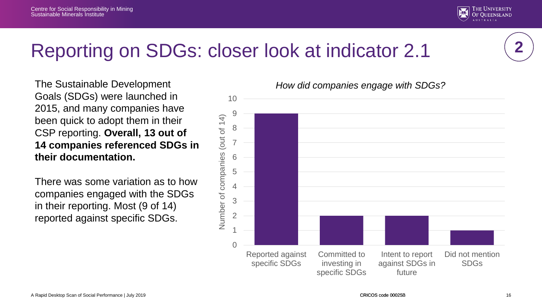



### Reporting on SDGs: closer look at indicator 2.1

The Sustainable Development Goals (SDGs) were launched in 2015, and many companies have been quick to adopt them in their CSP reporting. **Overall, 13 out of 14 companies referenced SDGs in their documentation.** 

There was some variation as to how companies engaged with the SDGs in their reporting. Most (9 of 14) reported against specific SDGs.

*How did companies engage with SDGs?*

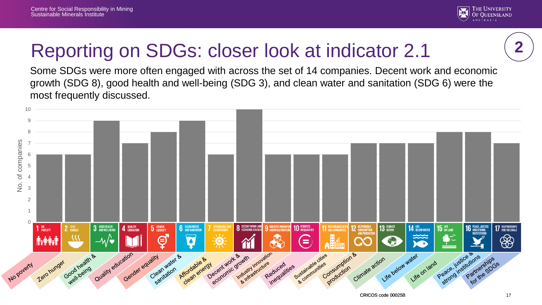

# Reporting on SDGs: closer look at indicator 2.1

Some SDGs were more often engaged with across the set of 14 companies. Decent work and economic growth (SDG 8), good health and well-being (SDG 3), and clean water and sanitation (SDG 6) were the most frequently discussed.

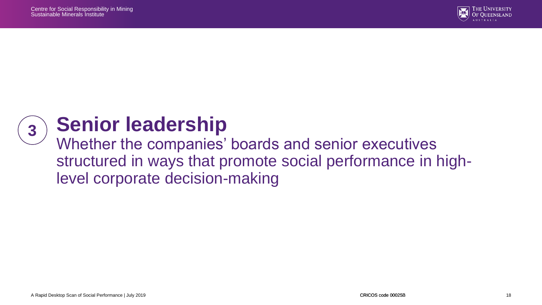



### **Senior leadership**

Whether the companies' boards and senior executives structured in ways that promote social performance in highlevel corporate decision-making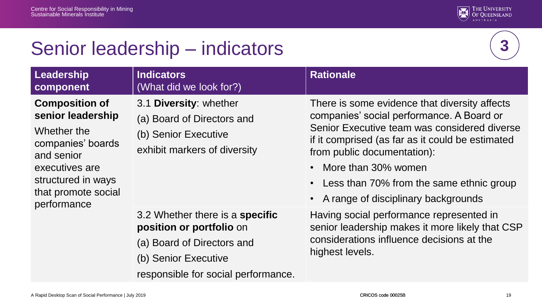

### Senior leadership – indicators



| Leadership<br>component                                                                                                                                                    | <b>Indicators</b><br>(What did we look for?)                                                                                                                    | <b>Rationale</b>                                                                                                                                                                                                                                                                                                                              |
|----------------------------------------------------------------------------------------------------------------------------------------------------------------------------|-----------------------------------------------------------------------------------------------------------------------------------------------------------------|-----------------------------------------------------------------------------------------------------------------------------------------------------------------------------------------------------------------------------------------------------------------------------------------------------------------------------------------------|
| <b>Composition of</b><br>senior leadership<br>Whether the<br>companies' boards<br>and senior<br>executives are<br>structured in ways<br>that promote social<br>performance | 3.1 Diversity: whether<br>(a) Board of Directors and<br>(b) Senior Executive<br>exhibit markers of diversity                                                    | There is some evidence that diversity affects<br>companies' social performance. A Board or<br>Senior Executive team was considered diverse<br>if it comprised (as far as it could be estimated<br>from public documentation):<br>• More than 30% women<br>• Less than 70% from the same ethnic group<br>• A range of disciplinary backgrounds |
|                                                                                                                                                                            | 3.2 Whether there is a <b>specific</b><br>position or portfolio on<br>(a) Board of Directors and<br>(b) Senior Executive<br>responsible for social performance. | Having social performance represented in<br>senior leadership makes it more likely that CSP<br>considerations influence decisions at the<br>highest levels.                                                                                                                                                                                   |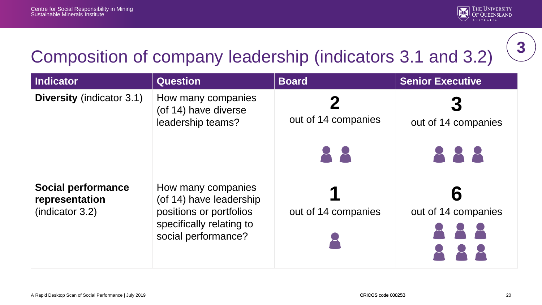

# Composition of company leadership (indicators 3.1 and 3.2)

| <b>Indicator</b>                                                | <b>Question</b>                                                                                                             | <b>Board</b>                        | <b>Senior Executive</b>    |
|-----------------------------------------------------------------|-----------------------------------------------------------------------------------------------------------------------------|-------------------------------------|----------------------------|
| <b>Diversity (indicator 3.1)</b>                                | How many companies<br>(of 14) have diverse<br>leadership teams?                                                             | out of 14 companies<br>$\mathbf{R}$ | out of 14 companies<br>888 |
| <b>Social performance</b><br>representation<br>(indication 3.2) | How many companies<br>(of 14) have leadership<br>positions or portfolios<br>specifically relating to<br>social performance? | out of 14 companies                 | out of 14 companies        |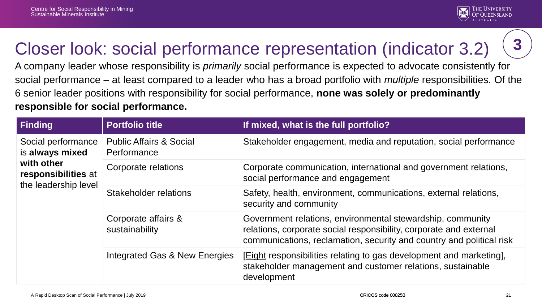

### Closer look: social performance representation (indicator 3.2)

A company leader whose responsibility is *primarily* social performance is expected to advocate consistently for social performance – at least compared to a leader who has a broad portfolio with *multiple* responsibilities. Of the 6 senior leader positions with responsibility for social performance, **none was solely or predominantly responsible for social performance.** 

| <b>Finding</b>                                                                                     | <b>Portfolio title</b>                            | If mixed, what is the full portfolio?                                                                                                                                                                    |
|----------------------------------------------------------------------------------------------------|---------------------------------------------------|----------------------------------------------------------------------------------------------------------------------------------------------------------------------------------------------------------|
| Social performance<br>is always mixed<br>with other<br>responsibilities at<br>the leadership level | <b>Public Affairs &amp; Social</b><br>Performance | Stakeholder engagement, media and reputation, social performance                                                                                                                                         |
|                                                                                                    | Corporate relations                               | Corporate communication, international and government relations,<br>social performance and engagement                                                                                                    |
|                                                                                                    | Stakeholder relations                             | Safety, health, environment, communications, external relations,<br>security and community                                                                                                               |
|                                                                                                    | Corporate affairs &<br>sustainability             | Government relations, environmental stewardship, community<br>relations, corporate social responsibility, corporate and external<br>communications, reclamation, security and country and political risk |
|                                                                                                    | Integrated Gas & New Energies                     | <b>[Eight responsibilities relating to gas development and marketing],</b><br>stakeholder management and customer relations, sustainable<br>development                                                  |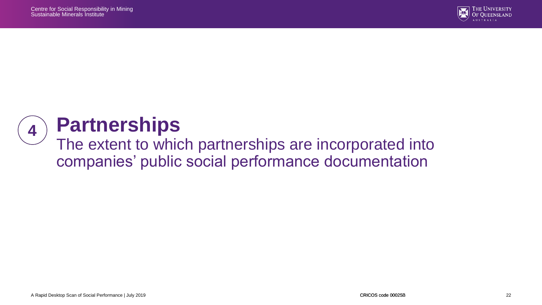

#### **Partnerships 4**

The extent to which partnerships are incorporated into companies' public social performance documentation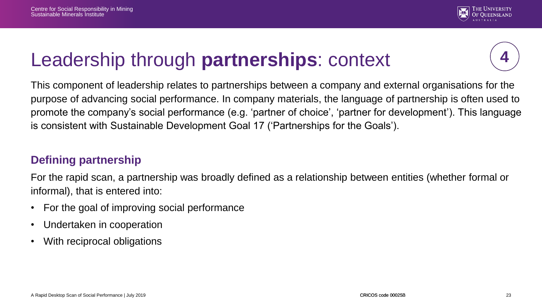

### Leadership through **partnerships**: context

This component of leadership relates to partnerships between a company and external organisations for the purpose of advancing social performance. In company materials, the language of partnership is often used to promote the company's social performance (e.g. 'partner of choice', 'partner for development'). This language is consistent with Sustainable Development Goal 17 ('Partnerships for the Goals').

#### **Defining partnership**

For the rapid scan, a partnership was broadly defined as a relationship between entities (whether formal or informal), that is entered into:

- For the goal of improving social performance
- Undertaken in cooperation
- With reciprocal obligations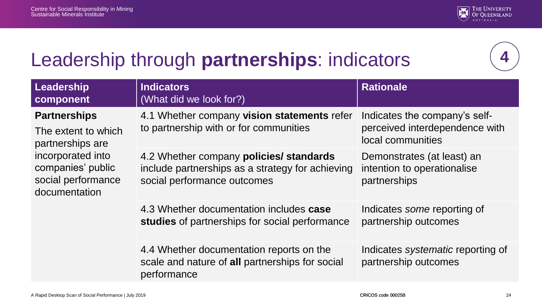

# Leadership through **partnerships**: indicators

| Leadership<br>component                                                                                                                         | <b>Indicators</b><br>(What did we look for?)                                                                               | <b>Rationale</b>                                                                     |
|-------------------------------------------------------------------------------------------------------------------------------------------------|----------------------------------------------------------------------------------------------------------------------------|--------------------------------------------------------------------------------------|
| <b>Partnerships</b><br>The extent to which<br>partnerships are<br>incorporated into<br>companies' public<br>social performance<br>documentation | 4.1 Whether company vision statements refer<br>to partnership with or for communities                                      | Indicates the company's self-<br>perceived interdependence with<br>local communities |
|                                                                                                                                                 | 4.2 Whether company policies/ standards<br>include partnerships as a strategy for achieving<br>social performance outcomes | Demonstrates (at least) an<br>intention to operationalise<br>partnerships            |
|                                                                                                                                                 | 4.3 Whether documentation includes case<br>studies of partnerships for social performance                                  | Indicates some reporting of<br>partnership outcomes                                  |
|                                                                                                                                                 | 4.4 Whether documentation reports on the<br>scale and nature of all partnerships for social<br>performance                 | Indicates <i>systematic</i> reporting of<br>partnership outcomes                     |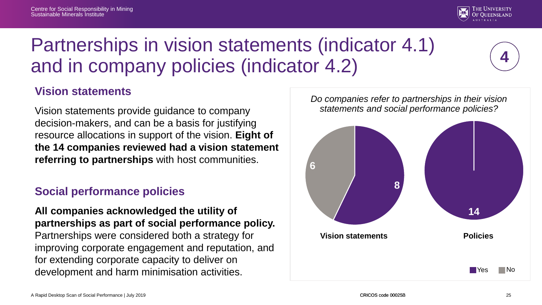

# Partnerships in vision statements (indicator 4.1) and in company policies (indicator 4.2)

#### **Vision statements**

Vision statements provide guidance to company decision-makers, and can be a basis for justifying resource allocations in support of the vision. **Eight of the 14 companies reviewed had a vision statement referring to partnerships** with host communities.

#### **Social performance policies**

**All companies acknowledged the utility of partnerships as part of social performance policy.**  Partnerships were considered both a strategy for improving corporate engagement and reputation, and for extending corporate capacity to deliver on development and harm minimisation activities.

*Do companies refer to partnerships in their vision statements and social performance policies?*

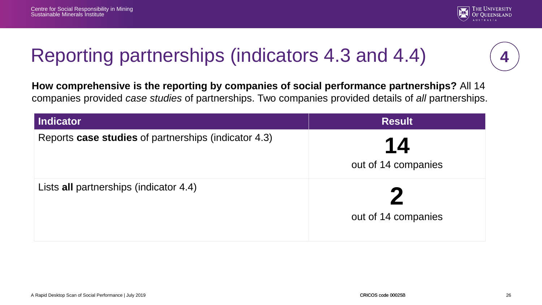

### Reporting partnerships (indicators 4.3 and 4.4)

**How comprehensive is the reporting by companies of social performance partnerships?** All 14 companies provided *case studies* of partnerships. Two companies provided details of *all* partnerships.

| Indicator                                            | <b>Result</b>       |
|------------------------------------------------------|---------------------|
| Reports case studies of partnerships (indicator 4.3) | 14                  |
|                                                      | out of 14 companies |
| Lists all partnerships (indicator 4.4)               | out of 14 companies |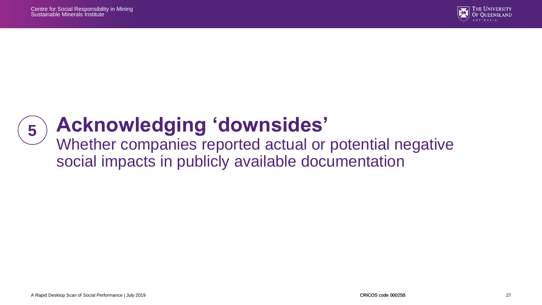

# **Acknowledging 'downsides'**

Whether companies reported actual or potential negative social impacts in publicly available documentation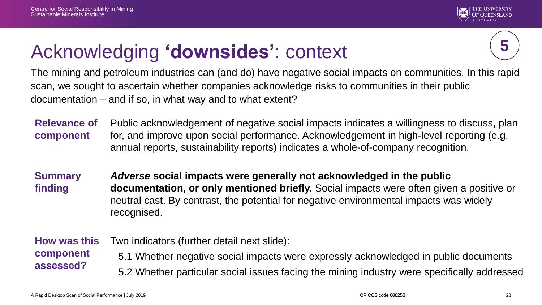

### Acknowledging **'downsides'**: context



The mining and petroleum industries can (and do) have negative social impacts on communities. In this rapid scan, we sought to ascertain whether companies acknowledge risks to communities in their public documentation – and if so, in what way and to what extent?

**Relevance of component** Public acknowledgement of negative social impacts indicates a willingness to discuss, plan for, and improve upon social performance. Acknowledgement in high-level reporting (e.g. annual reports, sustainability reports) indicates a whole-of-company recognition.

**Summary finding** *Adverse* **social impacts were generally not acknowledged in the public documentation, or only mentioned briefly.** Social impacts were often given a positive or neutral cast. By contrast, the potential for negative environmental impacts was widely recognised.

**How was this component assessed?** Two indicators (further detail next slide): 5.1 Whether negative social impacts were expressly acknowledged in public documents 5.2 Whether particular social issues facing the mining industry were specifically addressed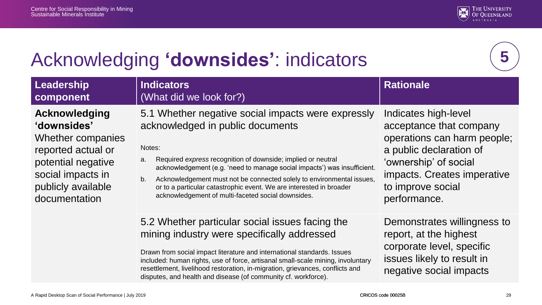

# Acknowledging **'downsides'**: indicators

**5**

| Leadership<br>component                                                                                                                                   | <b>Indicators</b><br>(What did we look for?)                                                                                                                                                                                                                                                                                                                                                                                                                   | <b>Rationale</b>                                                                                                                                                                                       |
|-----------------------------------------------------------------------------------------------------------------------------------------------------------|----------------------------------------------------------------------------------------------------------------------------------------------------------------------------------------------------------------------------------------------------------------------------------------------------------------------------------------------------------------------------------------------------------------------------------------------------------------|--------------------------------------------------------------------------------------------------------------------------------------------------------------------------------------------------------|
| Acknowledging<br>'downsides'<br>Whether companies<br>reported actual or<br>potential negative<br>social impacts in<br>publicly available<br>documentation | 5.1 Whether negative social impacts were expressly<br>acknowledged in public documents<br>Notes:<br>Required express recognition of downside; implied or neutral<br>a.<br>acknowledgement (e.g. 'need to manage social impacts') was insufficient.<br>b.<br>Acknowledgement must not be connected solely to environmental issues,<br>or to a particular catastrophic event. We are interested in broader<br>acknowledgement of multi-faceted social downsides. | Indicates high-level<br>acceptance that company<br>operations can harm people;<br>a public declaration of<br>'ownership' of social<br>impacts. Creates imperative<br>to improve social<br>performance. |
|                                                                                                                                                           | 5.2 Whether particular social issues facing the<br>mining industry were specifically addressed<br>Drawn from social impact literature and international standards. Issues<br>included: human rights, use of force, artisanal small-scale mining, involuntary<br>resettlement, livelihood restoration, in-migration, grievances, conflicts and<br>disputes, and health and disease (of community cf. workforce).                                                | Demonstrates willingness to<br>report, at the highest<br>corporate level, specific<br>issues likely to result in<br>negative social impacts                                                            |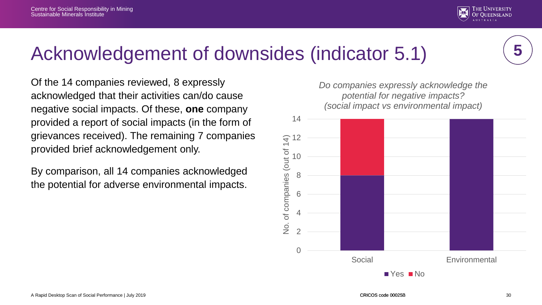



#### Acknowledgement of downsides (indicator 5.1)

Of the 14 companies reviewed, 8 expressly acknowledged that their activities can/do cause negative social impacts. Of these, **one** company provided a report of social impacts (in the form of grievances received). The remaining 7 companies provided brief acknowledgement only.

By comparison, all 14 companies acknowledged the potential for adverse environmental impacts.

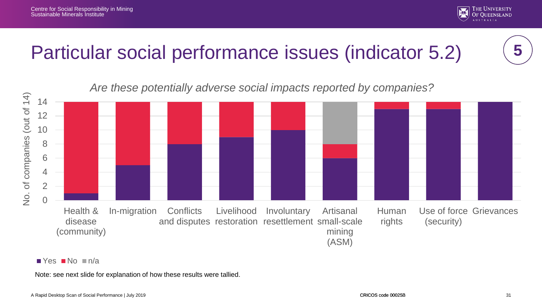

### Particular social performance issues (indicator 5.2)





#### $\blacksquare$  Yes  $\blacksquare$  No  $\blacksquare$  n/a

Note: see next slide for explanation of how these results were tallied.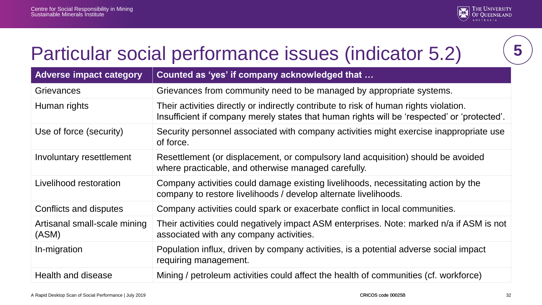

### Particular social performance issues (indicator 5.2)

| <b>Adverse impact category</b>        | Counted as 'yes' if company acknowledged that                                                                                                                                        |
|---------------------------------------|--------------------------------------------------------------------------------------------------------------------------------------------------------------------------------------|
| Grievances                            | Grievances from community need to be managed by appropriate systems.                                                                                                                 |
| Human rights                          | Their activities directly or indirectly contribute to risk of human rights violation.<br>Insufficient if company merely states that human rights will be 'respected' or 'protected'. |
| Use of force (security)               | Security personnel associated with company activities might exercise inappropriate use<br>of force.                                                                                  |
| Involuntary resettlement              | Resettlement (or displacement, or compulsory land acquisition) should be avoided<br>where practicable, and otherwise managed carefully.                                              |
| Livelihood restoration                | Company activities could damage existing livelihoods, necessitating action by the<br>company to restore livelihoods / develop alternate livelihoods.                                 |
| Conflicts and disputes                | Company activities could spark or exacerbate conflict in local communities.                                                                                                          |
| Artisanal small-scale mining<br>(ASM) | Their activities could negatively impact ASM enterprises. Note: marked n/a if ASM is not<br>associated with any company activities.                                                  |
| In-migration                          | Population influx, driven by company activities, is a potential adverse social impact<br>requiring management.                                                                       |
| Health and disease                    | Mining / petroleum activities could affect the health of communities (cf. workforce)                                                                                                 |